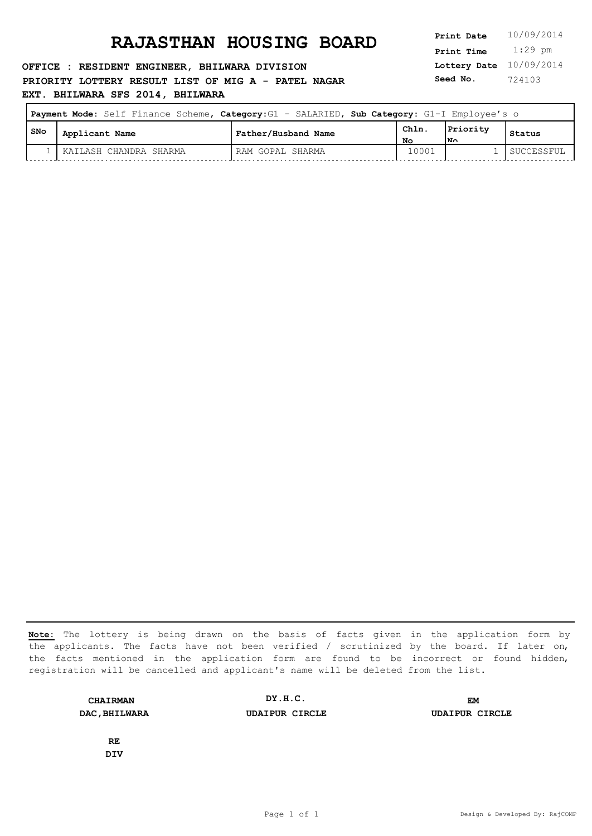### **OFFICE : RESIDENT ENGINEER, BHILWARA DIVISION PRIORITY LOTTERY RESULT LIST OF MIG A - PATEL NAGAR EXT. BHILWARA SFS 2014, BHILWARA**

**Lottery Date** 10/09/2014 **Print Time** 1:29 pm **Seed No.** 724103

| <b>Payment Mode:</b> Self Finance Scheme, Category: G1 - SALARIED, Sub Category: G1-I Employee's o |       |                        |                     |            |                         |            |
|----------------------------------------------------------------------------------------------------|-------|------------------------|---------------------|------------|-------------------------|------------|
|                                                                                                    | l SNo | Applicant Name         | Father/Husband Name | Chln<br>Nο | Priority<br>$N_{\odot}$ | Status     |
|                                                                                                    |       | KAILASH CHANDRA SHARMA | RAM GOPAL SHARMA    | 10001      |                         | SUCCESSFUL |

**Note:** The lottery is being drawn on the basis of facts given in the application form by the applicants. The facts have not been verified / scrutinized by the board. If later on, the facts mentioned in the application form are found to be incorrect or found hidden, registration will be cancelled and applicant's name will be deleted from the list.

**CHAIRMAN DAC,BHILWARA UDAIPUR CIRCLE UDAIPUR CIRCLE DY.H.C. EM**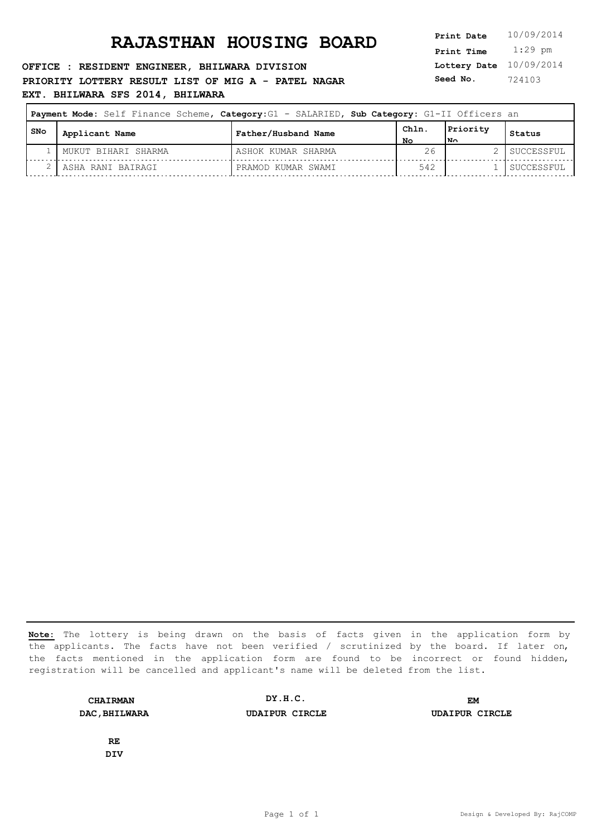**OFFICE : RESIDENT ENGINEER, BHILWARA DIVISION PRIORITY LOTTERY RESULT LIST OF MIG A - PATEL NAGAR EXT. BHILWARA SFS 2014, BHILWARA**

**Lottery Date** 10/09/2014 **Print Time** 1:29 pm **Seed No.** 724103

|       |                     | Payment Mode: Self Finance Scheme, Category: G1 - SALARIED, Sub Category: G1-II Officers an |      |          |            |
|-------|---------------------|---------------------------------------------------------------------------------------------|------|----------|------------|
| , SNo | Applicant Name      | Father/Husband Name                                                                         | ChIn | Priority | Status     |
|       |                     |                                                                                             | NΘ   | l™∩      |            |
|       | MUKUT BIHARI SHARMA | ASHOK KUMAR SHARMA                                                                          | 26   |          | SUCCESSFUL |
|       | ASHA RANI BAIRAGI   | PRAMOD KUMAR SWAMI                                                                          | 542  |          | SUCCESSFUL |

**Note:** The lottery is being drawn on the basis of facts given in the application form by the applicants. The facts have not been verified / scrutinized by the board. If later on, the facts mentioned in the application form are found to be incorrect or found hidden, registration will be cancelled and applicant's name will be deleted from the list.

**CHAIRMAN DAC,BHILWARA UDAIPUR CIRCLE UDAIPUR CIRCLE DY.H.C. EM**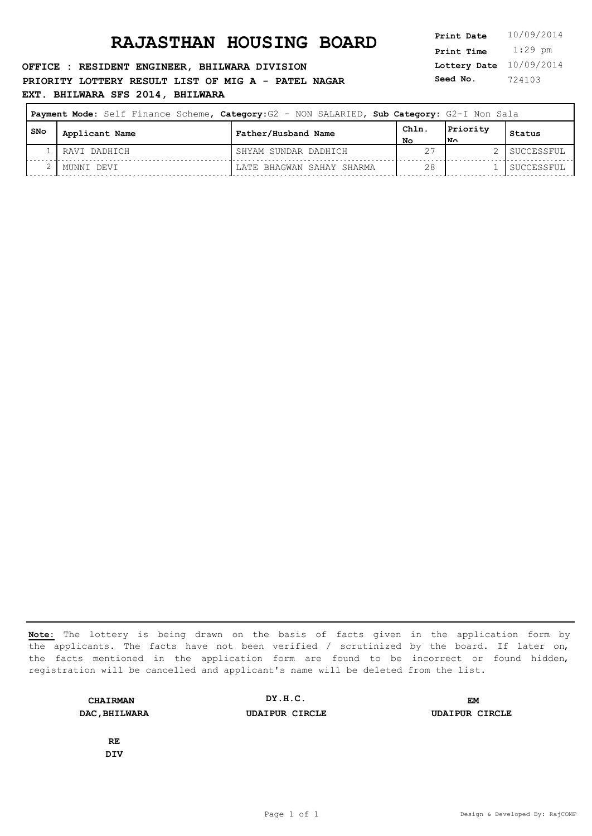**OFFICE : RESIDENT ENGINEER, BHILWARA DIVISION PRIORITY LOTTERY RESULT LIST OF MIG A - PATEL NAGAR EXT. BHILWARA SFS 2014, BHILWARA**

**Lottery Date** 10/09/2014 **Print Time** 1:29 pm **Seed No.** 724103

|       | Payment Mode: Self Finance Scheme, Category: G2 - NON SALARIED, Sub Category: G2-I Non Sala |                           |            |                 |            |
|-------|---------------------------------------------------------------------------------------------|---------------------------|------------|-----------------|------------|
| l SNo | Applicant Name                                                                              | Father/Husband Name       | Chln<br>NΟ | Priority<br>lN∩ | Status     |
|       | RAVI DADHICH                                                                                | SHYAM SUNDAR DADHICH      |            |                 | SUCCESSFUL |
|       | MUNNI DEVI                                                                                  | LATE BHAGWAN SAHAY SHARMA |            |                 | SUCCESSFUL |

**Note:** The lottery is being drawn on the basis of facts given in the application form by the applicants. The facts have not been verified / scrutinized by the board. If later on, the facts mentioned in the application form are found to be incorrect or found hidden, registration will be cancelled and applicant's name will be deleted from the list.

**CHAIRMAN DAC,BHILWARA UDAIPUR CIRCLE UDAIPUR CIRCLE DY.H.C. EM**